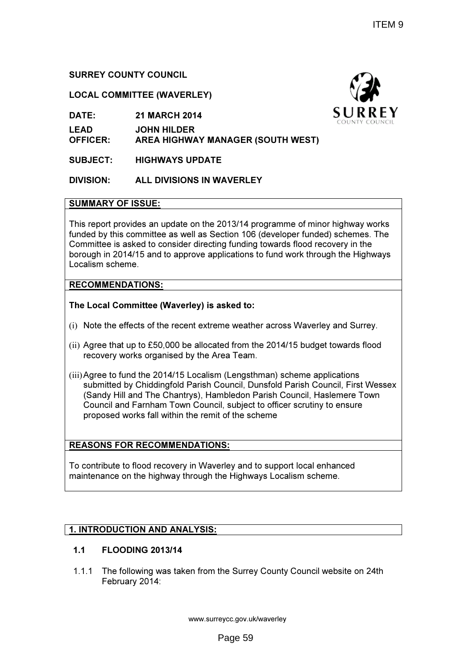# SURREY COUNTY COUNCIL

## LOCAL COMMITTEE (WAVERLEY)

DATE: 21 MARCH 2014

LEAD JOHN HILDER

OFFICER: AREA HIGHWAY MANAGER (SOUTH WEST)

SUBJECT: HIGHWAYS UPDATE

# DIVISION: ALL DIVISIONS IN WAVERLEY

## SUMMARY OF ISSUE:

This report provides an update on the 2013/14 programme of minor highway works funded by this committee as well as Section 106 (developer funded) schemes. The Committee is asked to consider directing funding towards flood recovery in the Committee is asked to consider directing funding towards flood recovery in the<br>borough in 2014/15 and to approve applications to fund work through the Highways Localism scheme. borough in 2014/15 and to approve applications to fund work through the Highwa<br>Localism scheme.<br>**RECOMMENDATIONS:**<br>T**he Local Committee (Waverley) is asked to:**<br>(i) Note the effects of the recent extreme weather across Wav

## RECOMMENDATIONS:

The Local Committee (Waverley) is asked to:

- 
- (ii) Agree that up to £50,000 be allocated from the 2014/15 budget towards flood recovery works organised by the Area Team.
- (iii)Agree to fund the 2014/15 Localism (Lengsthman (Lengsthman) scheme applications submitted by Chiddingfold Parish Council, Dunsfold Parish Council, First Wessex (Sandy Hill and The Chantrys), Hambledon Parish Council, Haslemere Town Council and Farnham Town Council Council, subject to officer scrutiny to ensure proposed works fall within the remit of the scheme

## REASONS FOR RECOMMENDATIONS:

To contribute to flood recovery in Waverley and to support local enhanced maintenance on the highway through the Highways Localism scheme.

# <u>1. INTRODUCTION AND ANALYSIS:</u>

## 1.1 FLOODING 2013/14

1.1.1 The following was taken from the Surrey County Council website on 24th February 2014:

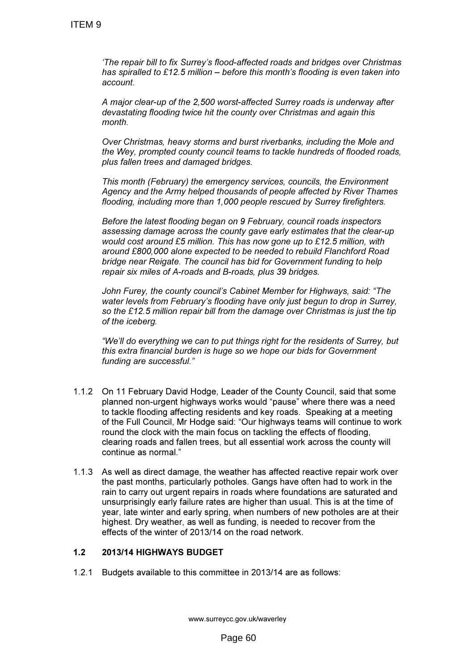'The repair bill to fix Surrey's flood-affected roads and bridges over Christmas has spiralled to £12.5 million – before this month's flooding is even taken into account.

A major clear-up of the 2,500 worst-affected Surrey roads is underway after devastating flooding twice hit the county over Christmas and again this month.

Over Christmas, heavy storms and burst riverbanks, including the Mole and the Wey, prompted county council teams to tackle hundreds of flooded roads, plus fallen trees and damaged bridges.

This month (February) the emergency services, councils, the Environment Agency and the Army helped thousands of people affected by River Thames flooding, including more than 1,000 people rescued by Surrey firefighters.

Before the latest flooding began on 9 February, council roads inspectors assessing damage across the county gave early estimates that the clear-up would cost around £5 million. This has now gone up to £12.5 million, with around £800,000 alone expected to be needed to rebuild Flanchford Road bridge near Reigate. The council has bid for Government funding to help repair six miles of A-roads and B-roads, plus 39 bridges.

John Furey, the county council's Cabinet Member for Highways, said: "The water levels from February's flooding have only just begun to drop in Surrey, so the £12.5 million repair bill from the damage over Christmas is just the tip of the iceberg.

"We'll do everything we can to put things right for the residents of Surrey, but this extra financial burden is huge so we hope our bids for Government funding are successful."

- 1.1.2 On 11 February David Hodge, Leader of the County Council, said that some planned non-urgent highways works would "pause" where there was a need to tackle flooding affecting residents and key roads. Speaking at a meeting of the Full Council, Mr Hodge said: "Our highways teams will continue to work round the clock with the main focus on tackling the effects of flooding, clearing roads and fallen trees, but all essential work across the county will continue as normal."
- 1.1.3 As well as direct damage, the weather has affected reactive repair work over the past months, particularly potholes. Gangs have often had to work in the rain to carry out urgent repairs in roads where foundations are saturated and unsurprisingly early failure rates are higher than usual. This is at the time of year, late winter and early spring, when numbers of new potholes are at their highest. Dry weather, as well as funding, is needed to recover from the effects of the winter of 2013/14 on the road network.

## 1.2 2013/14 HIGHWAYS BUDGET

1.2.1 Budgets available to this committee in 2013/14 are as follows: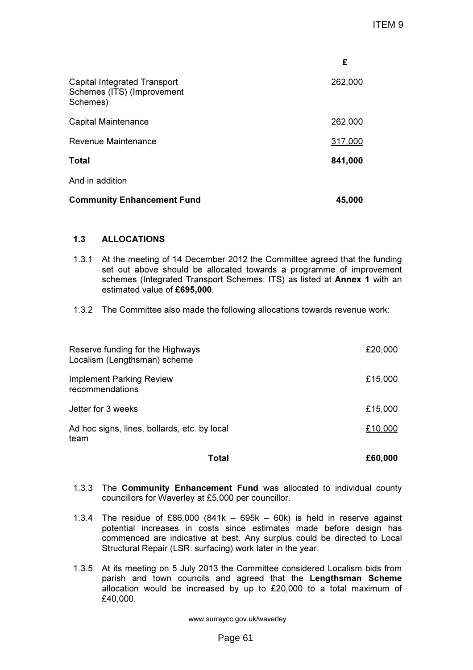|                                                                        | £       |
|------------------------------------------------------------------------|---------|
| Capital Integrated Transport<br>Schemes (ITS) (Improvement<br>Schemes) | 262,000 |
| Capital Maintenance                                                    | 262,000 |
| Revenue Maintenance                                                    | 317,000 |
| Total                                                                  | 841,000 |
| And in addition                                                        |         |
| <b>Community Enhancement Fund</b>                                      | 45,000  |

## 1.3 ALLOCATIONS

- 1.3.1 At the meeting of 14 December 2012 the Committee agreed that the funding set out above should be allocated towards a programme of improvement schemes (Integrated Transport Schemes: ITS) as listed at Annex 1 with an estimated value of £695,000.
- 1.3.2 The Committee also made the following allocations towards revenue work:

| Total                                                            | £60,000 |
|------------------------------------------------------------------|---------|
| Ad hoc signs, lines, bollards, etc. by local<br>team             | £10,000 |
| Jetter for 3 weeks                                               | £15,000 |
| <b>Implement Parking Review</b><br>recommendations               | £15,000 |
| Reserve funding for the Highways<br>Localism (Lengthsman) scheme | £20,000 |

- 1.3.3 The Community Enhancement Fund was allocated to individual county councillors for Waverley at £5,000 per councillor.
- 1.3.4 The residue of £86,000 (841k 695k 60k) is held in reserve against potential increases in costs since estimates made before design has commenced are indicative at best. Any surplus could be directed to Local Structural Repair (LSR: surfacing) work later in the year.
- 1.3.5 At its meeting on 5 July 2013 the Committee considered Localism bids from parish and town councils and agreed that the Lengthsman Scheme allocation would be increased by up to £20,000 to a total maximum of £40,000.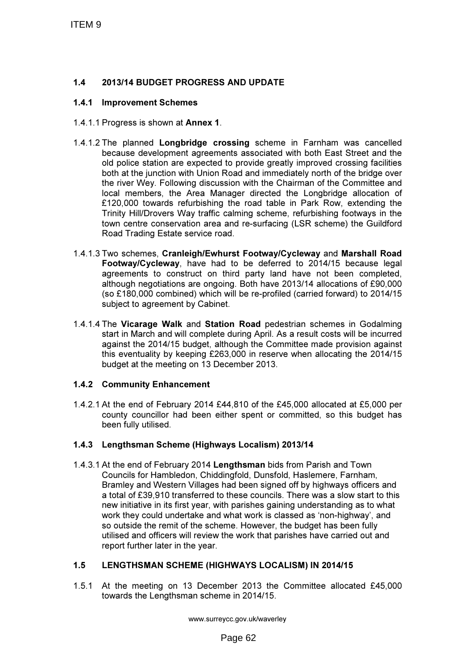# 1.4 2013/14 BUDGET PROGRESS AND UPDATE

#### 1.4.1 Improvement Schemes

- 1.4.1.1 Progress is shown at Annex 1.
- 1.4.1.2 The planned Longbridge crossing scheme in Farnham was cancelled because development agreements associated with both East Street and the old police station are expected to provide greatly improved crossing facilities both at the junction with Union Road and immediately north of the bridge over the river Wey. Following discussion with the Chairman of the Committee and local members, the Area Manager directed the Longbridge allocation of £120,000 towards refurbishing the road table in Park Row, extending the Trinity Hill/Drovers Way traffic calming scheme, refurbishing footways in the town centre conservation area and re-surfacing (LSR scheme) the Guildford Road Trading Estate service road.
- 1.4.1.3 Two schemes, Cranleigh/Ewhurst Footway/Cycleway and Marshall Road Footway/Cycleway, have had to be deferred to 2014/15 because legal agreements to construct on third party land have not been completed, although negotiations are ongoing. Both have 2013/14 allocations of £90,000 (so £180,000 combined) which will be re-profiled (carried forward) to 2014/15 subject to agreement by Cabinet.
- 1.4.1.4 The Vicarage Walk and Station Road pedestrian schemes in Godalming start in March and will complete during April. As a result costs will be incurred against the 2014/15 budget, although the Committee made provision against this eventuality by keeping £263,000 in reserve when allocating the 2014/15 budget at the meeting on 13 December 2013.

## 1.4.2 Community Enhancement

1.4.2.1 At the end of February 2014 £44,810 of the £45,000 allocated at £5,000 per county councillor had been either spent or committed, so this budget has been fully utilised.

## 1.4.3 Lengthsman Scheme (Highways Localism) 2013/14

1.4.3.1 At the end of February 2014 Lengthsman bids from Parish and Town Councils for Hambledon, Chiddingfold, Dunsfold, Haslemere, Farnham, Bramley and Western Villages had been signed off by highways officers and a total of £39,910 transferred to these councils. There was a slow start to this new initiative in its first year, with parishes gaining understanding as to what work they could undertake and what work is classed as 'non-highway', and so outside the remit of the scheme. However, the budget has been fully utilised and officers will review the work that parishes have carried out and report further later in the year.

## 1.5 LENGTHSMAN SCHEME (HIGHWAYS LOCALISM) IN 2014/15

1.5.1 At the meeting on 13 December 2013 the Committee allocated £45,000 towards the Lengthsman scheme in 2014/15.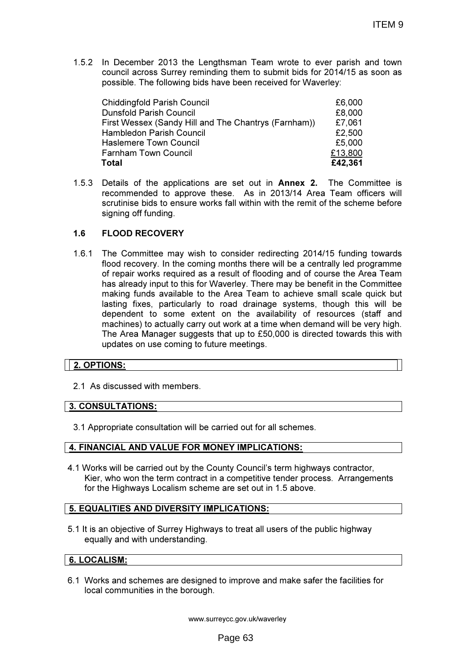1.5.2 In December 2013 the Lengthsman Team wrote to ever parish and town council across Surrey reminding them to submit bids for 2014/15 as soon as possible. The following bids have been received for Waverley:

| <b>Chiddingfold Parish Council</b>                   | £6,000  |
|------------------------------------------------------|---------|
| <b>Dunsfold Parish Council</b>                       | £8,000  |
| First Wessex (Sandy Hill and The Chantrys (Farnham)) | £7,061  |
| Hambledon Parish Council                             | £2,500  |
| <b>Haslemere Town Council</b>                        | £5,000  |
| <b>Farnham Town Council</b>                          | £13,800 |
| <b>Total</b>                                         | £42,361 |

1.5.3 Details of the applications are set out in Annex 2. The Committee is recommended to approve these. As in 2013/14 Area Team officers will scrutinise bids to ensure works fall within with the remit of the scheme before signing off funding.

## 1.6 FLOOD RECOVERY

1.6.1 The Committee may wish to consider redirecting 2014/15 funding towards flood recovery. In the coming months there will be a centrally led programme of repair works required as a result of flooding and of course the Area Team has already input to this for Waverley. There may be benefit in the Committee making funds available to the Area Team to achieve small scale quick but lasting fixes, particularly to road drainage systems, though this will be dependent to some extent on the availability of resources (staff and machines) to actually carry out work at a time when demand will be very high. The Area Manager suggests that up to £50,000 is directed towards this with updates on use coming to future meetings.

## 2. OPTIONS:

2.1 As discussed with members.

## 3. CONSULTATIONS:

3.1 Appropriate consultation will be carried out for all schemes.

## 4. FINANCIAL AND VALUE FOR MONEY IMPLICATIONS:

4.1 Works will be carried out by the County Council's term highways contractor, Kier, who won the term contract in a competitive tender process. Arrangements for the Highways Localism scheme are set out in 1.5 above.

## 5. EQUALITIES AND DIVERSITY IMPLICATIONS:

5.1 It is an objective of Surrey Highways to treat all users of the public highway equally and with understanding.

#### 6. LOCALISM:

6.1 Works and schemes are designed to improve and make safer the facilities for local communities in the borough.